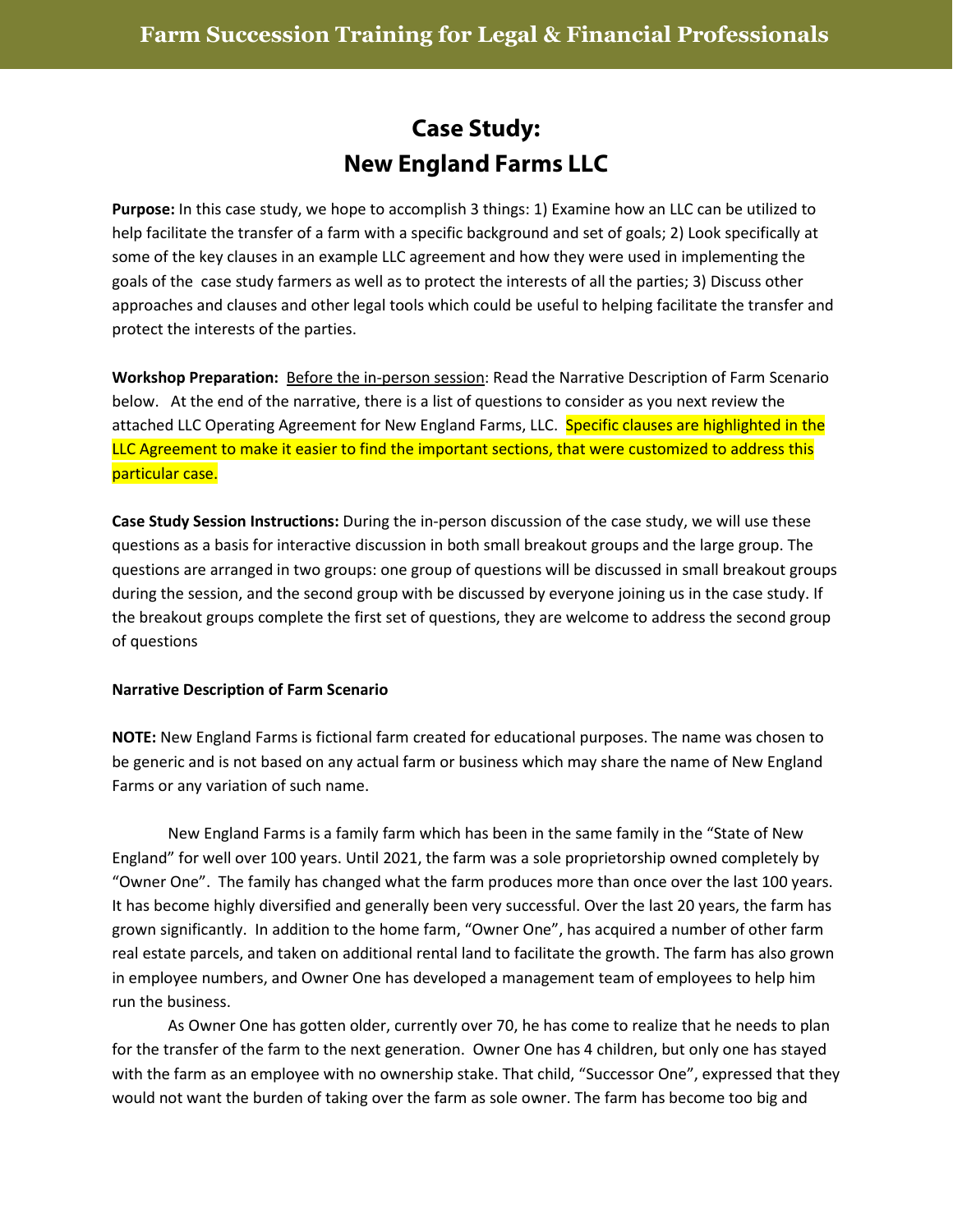## **Case Study: New England Farms LLC**

**Purpose:** In this case study, we hope to accomplish 3 things: 1) Examine how an LLC can be utilized to help facilitate the transfer of a farm with a specific background and set of goals; 2) Look specifically at some of the key clauses in an example LLC agreement and how they were used in implementing the goals of the case study farmers as well as to protect the interests of all the parties; 3) Discuss other approaches and clauses and other legal tools which could be useful to helping facilitate the transfer and protect the interests of the parties.

**Workshop Preparation:** Before the in-person session: Read the Narrative Description of Farm Scenario below. At the end of the narrative, there is a list of questions to consider as you next review the attached LLC Operating Agreement for New England Farms, LLC. Specific clauses are highlighted in the LLC Agreement to make it easier to find the important sections, that were customized to address this particular case.

**Case Study Session Instructions:** During the in-person discussion of the case study, we will use these questions as a basis for interactive discussion in both small breakout groups and the large group. The questions are arranged in two groups: one group of questions will be discussed in small breakout groups during the session, and the second group with be discussed by everyone joining us in the case study. If the breakout groups complete the first set of questions, they are welcome to address the second group of questions

## **Narrative Description of Farm Scenario**

**NOTE:** New England Farms is fictional farm created for educational purposes. The name was chosen to be generic and is not based on any actual farm or business which may share the name of New England Farms or any variation of such name.

New England Farms is a family farm which has been in the same family in the "State of New England" for well over 100 years. Until 2021, the farm was a sole proprietorship owned completely by "Owner One". The family has changed what the farm produces more than once over the last 100 years. It has become highly diversified and generally been very successful. Over the last 20 years, the farm has grown significantly. In addition to the home farm, "Owner One", has acquired a number of other farm real estate parcels, and taken on additional rental land to facilitate the growth. The farm has also grown in employee numbers, and Owner One has developed a management team of employees to help him run the business.

As Owner One has gotten older, currently over 70, he has come to realize that he needs to plan for the transfer of the farm to the next generation. Owner One has 4 children, but only one has stayed with the farm as an employee with no ownership stake. That child, "Successor One", expressed that they would not want the burden of taking over the farm as sole owner. The farm has become too big and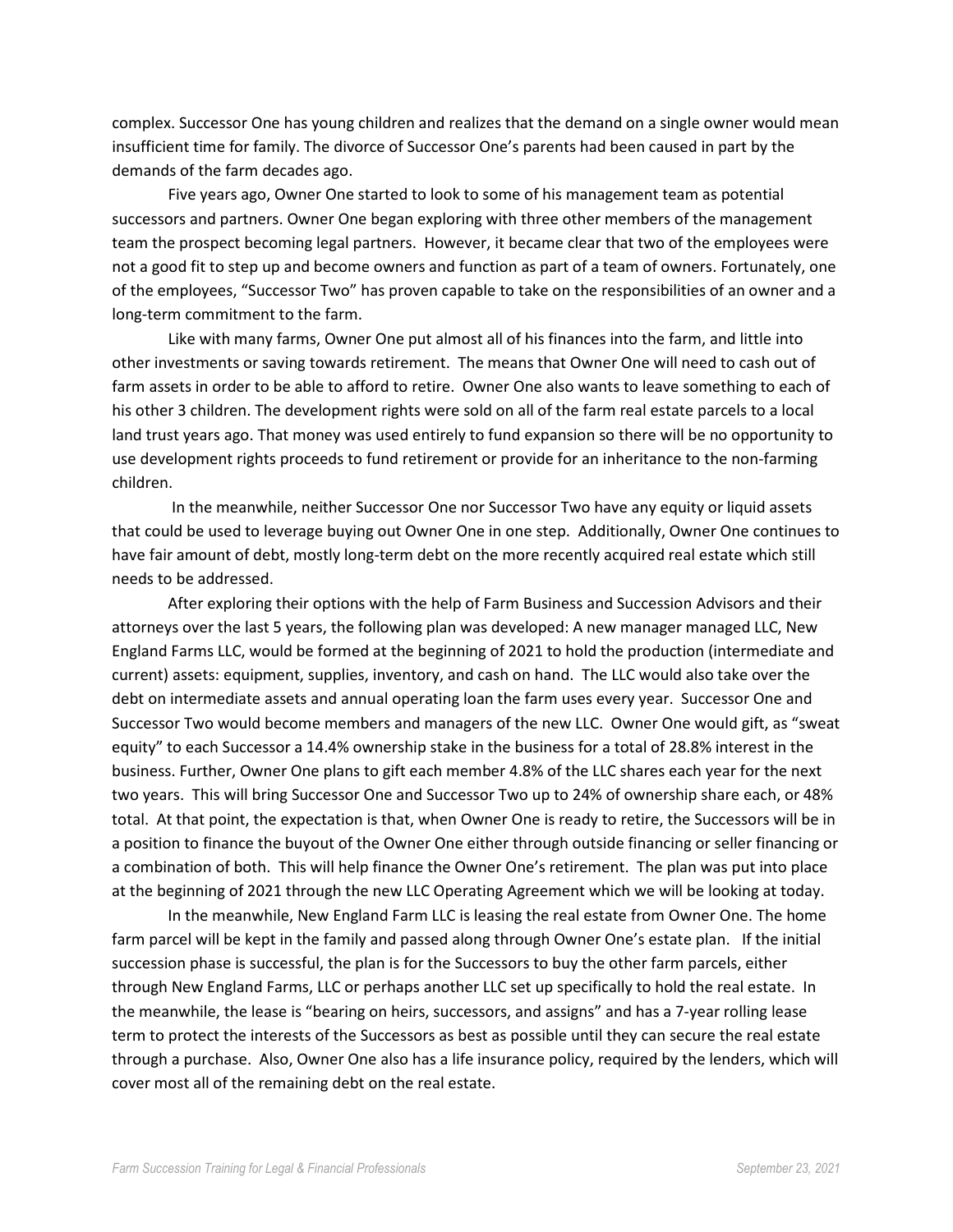complex. Successor One has young children and realizes that the demand on a single owner would mean insufficient time for family. The divorce of Successor One's parents had been caused in part by the demands of the farm decades ago.

Five years ago, Owner One started to look to some of his management team as potential successors and partners. Owner One began exploring with three other members of the management team the prospect becoming legal partners. However, it became clear that two of the employees were not a good fit to step up and become owners and function as part of a team of owners. Fortunately, one of the employees, "Successor Two" has proven capable to take on the responsibilities of an owner and a long-term commitment to the farm.

Like with many farms, Owner One put almost all of his finances into the farm, and little into other investments or saving towards retirement. The means that Owner One will need to cash out of farm assets in order to be able to afford to retire. Owner One also wants to leave something to each of his other 3 children. The development rights were sold on all of the farm real estate parcels to a local land trust years ago. That money was used entirely to fund expansion so there will be no opportunity to use development rights proceeds to fund retirement or provide for an inheritance to the non-farming children.

In the meanwhile, neither Successor One nor Successor Two have any equity or liquid assets that could be used to leverage buying out Owner One in one step. Additionally, Owner One continues to have fair amount of debt, mostly long-term debt on the more recently acquired real estate which still needs to be addressed.

After exploring their options with the help of Farm Business and Succession Advisors and their attorneys over the last 5 years, the following plan was developed: A new manager managed LLC, New England Farms LLC, would be formed at the beginning of 2021 to hold the production (intermediate and current) assets: equipment, supplies, inventory, and cash on hand. The LLC would also take over the debt on intermediate assets and annual operating loan the farm uses every year. Successor One and Successor Two would become members and managers of the new LLC. Owner One would gift, as "sweat equity" to each Successor a 14.4% ownership stake in the business for a total of 28.8% interest in the business. Further, Owner One plans to gift each member 4.8% of the LLC shares each year for the next two years. This will bring Successor One and Successor Two up to 24% of ownership share each, or 48% total. At that point, the expectation is that, when Owner One is ready to retire, the Successors will be in a position to finance the buyout of the Owner One either through outside financing or seller financing or a combination of both. This will help finance the Owner One's retirement. The plan was put into place at the beginning of 2021 through the new LLC Operating Agreement which we will be looking at today.

In the meanwhile, New England Farm LLC is leasing the real estate from Owner One. The home farm parcel will be kept in the family and passed along through Owner One's estate plan. If the initial succession phase is successful, the plan is for the Successors to buy the other farm parcels, either through New England Farms, LLC or perhaps another LLC set up specifically to hold the real estate. In the meanwhile, the lease is "bearing on heirs, successors, and assigns" and has a 7-year rolling lease term to protect the interests of the Successors as best as possible until they can secure the real estate through a purchase. Also, Owner One also has a life insurance policy, required by the lenders, which will cover most all of the remaining debt on the real estate.